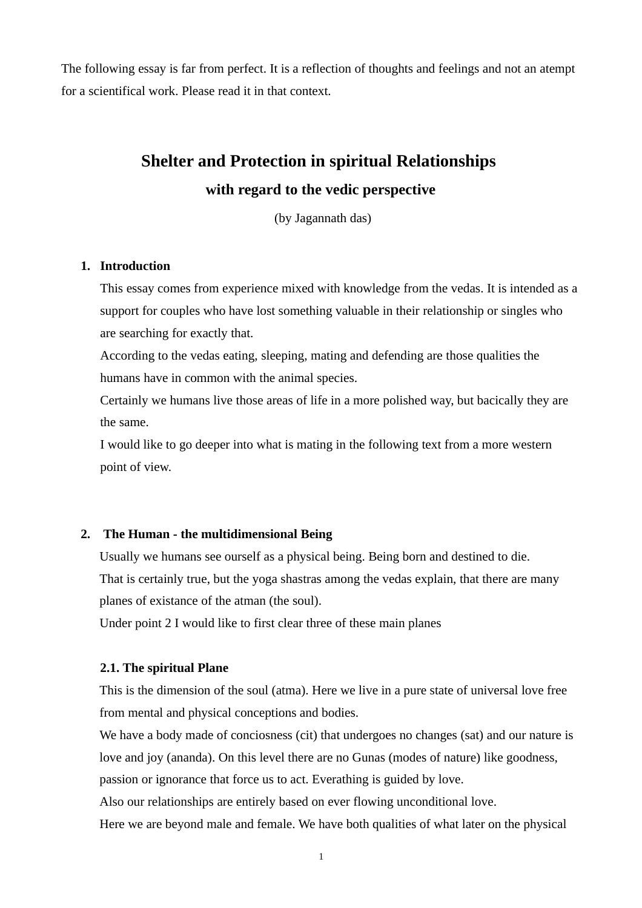The following essay is far from perfect. It is a reflection of thoughts and feelings and not an atempt for a scientifical work. Please read it in that context.

# **Shelter and Protection in spiritual Relationships with regard to the vedic perspective**

(by Jagannath das)

### **1. Introduction**

This essay comes from experience mixed with knowledge from the vedas. It is intended as a support for couples who have lost something valuable in their relationship or singles who are searching for exactly that.

According to the vedas eating, sleeping, mating and defending are those qualities the humans have in common with the animal species.

Certainly we humans live those areas of life in a more polished way, but bacically they are the same.

I would like to go deeper into what is mating in the following text from a more western point of view.

#### **2. The Human - the multidimensional Being**

Usually we humans see ourself as a physical being. Being born and destined to die. That is certainly true, but the yoga shastras among the vedas explain, that there are many planes of existance of the atman (the soul).

Under point 2 I would like to first clear three of these main planes

#### **2.1. The spiritual Plane**

This is the dimension of the soul (atma). Here we live in a pure state of universal love free from mental and physical conceptions and bodies.

We have a body made of conciosness (cit) that undergoes no changes (sat) and our nature is love and joy (ananda). On this level there are no Gunas (modes of nature) like goodness, passion or ignorance that force us to act. Everathing is guided by love.

Also our relationships are entirely based on ever flowing unconditional love.

Here we are beyond male and female. We have both qualities of what later on the physical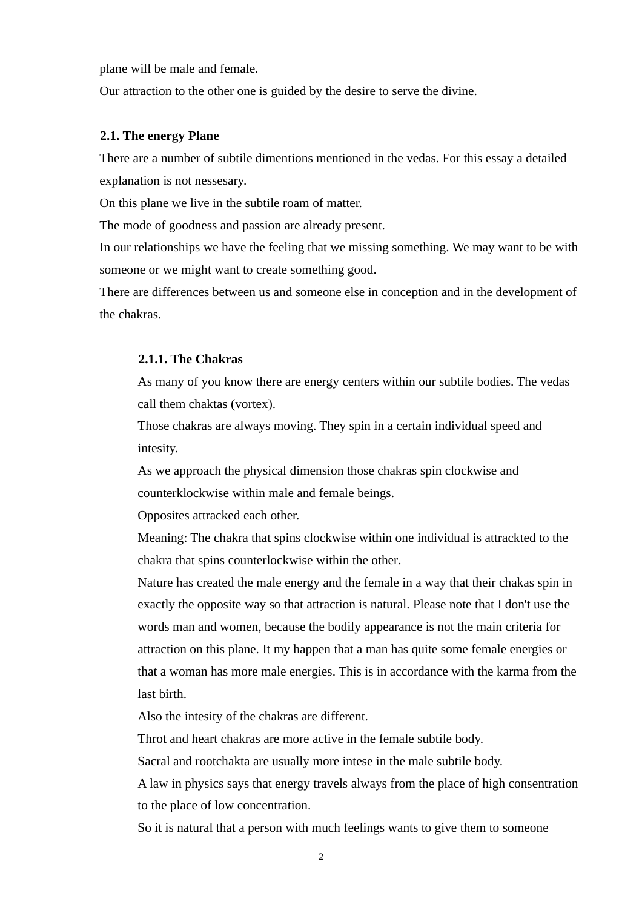plane will be male and female.

Our attraction to the other one is guided by the desire to serve the divine.

# **2.1. The energy Plane**

There are a number of subtile dimentions mentioned in the vedas. For this essay a detailed explanation is not nessesary.

On this plane we live in the subtile roam of matter.

The mode of goodness and passion are already present.

In our relationships we have the feeling that we missing something. We may want to be with someone or we might want to create something good.

There are differences between us and someone else in conception and in the development of the chakras.

#### **2.1.1. The Chakras**

As many of you know there are energy centers within our subtile bodies. The vedas call them chaktas (vortex).

Those chakras are always moving. They spin in a certain individual speed and intesity.

As we approach the physical dimension those chakras spin clockwise and counterklockwise within male and female beings.

Opposites attracked each other.

Meaning: The chakra that spins clockwise within one individual is attrackted to the chakra that spins counterlockwise within the other.

Nature has created the male energy and the female in a way that their chakas spin in exactly the opposite way so that attraction is natural. Please note that I don't use the words man and women, because the bodily appearance is not the main criteria for attraction on this plane. It my happen that a man has quite some female energies or that a woman has more male energies. This is in accordance with the karma from the last birth.

Also the intesity of the chakras are different.

Throt and heart chakras are more active in the female subtile body.

Sacral and rootchakta are usually more intese in the male subtile body.

A law in physics says that energy travels always from the place of high consentration to the place of low concentration.

So it is natural that a person with much feelings wants to give them to someone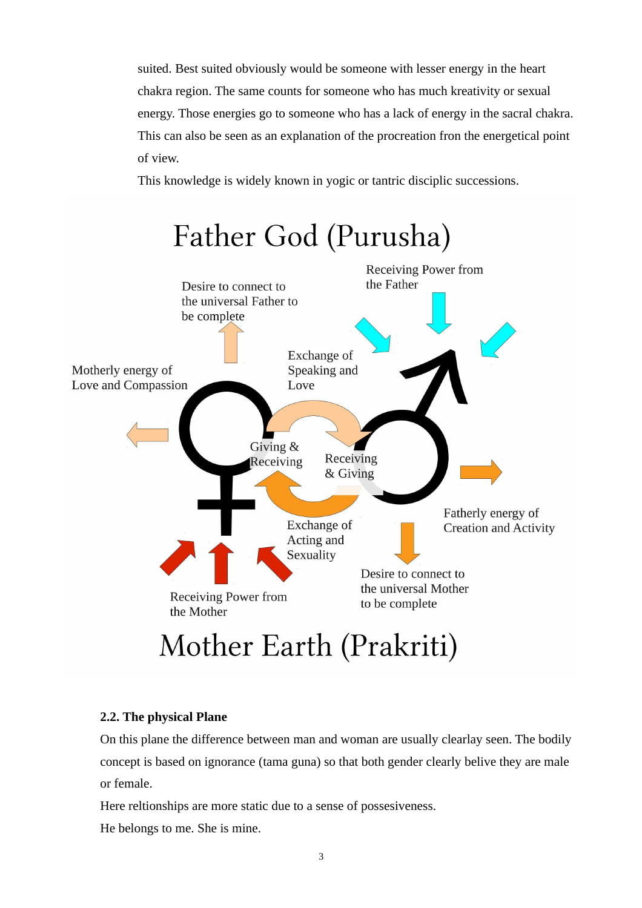suited. Best suited obviously would be someone with lesser energy in the heart chakra region. The same counts for someone who has much kreativity or sexual energy. Those energies go to someone who has a lack of energy in the sacral chakra. This can also be seen as an explanation of the procreation fron the energetical point of view.

This knowledge is widely known in yogic or tantric disciplic successions.



# **2.2. The physical Plane**

On this plane the difference between man and woman are usually clearlay seen. The bodily concept is based on ignorance (tama guna) so that both gender clearly belive they are male or female.

Here reltionships are more static due to a sense of possesiveness.

He belongs to me. She is mine.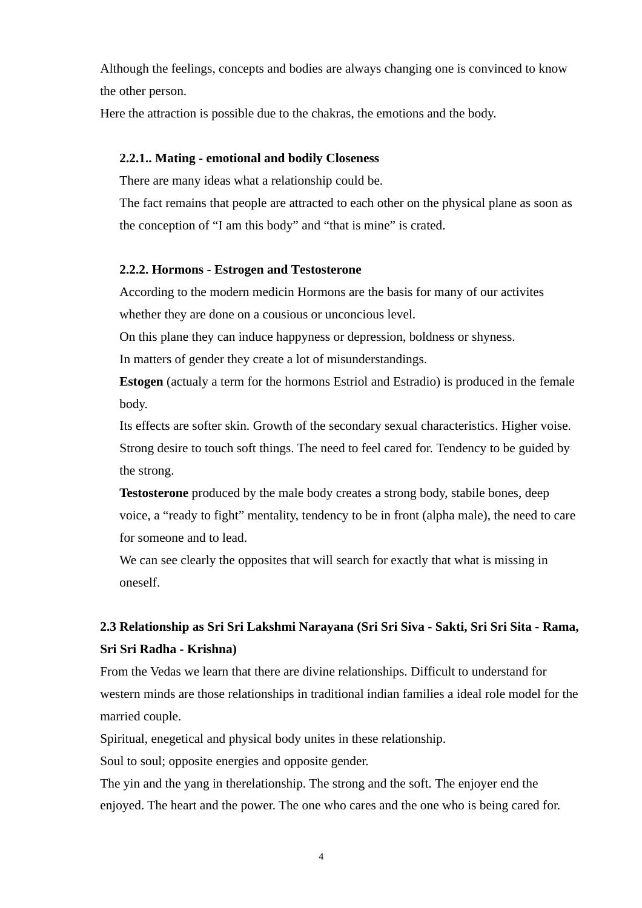Although the feelings, concepts and bodies are always changing one is convinced to know the other person.

Here the attraction is possible due to the chakras, the emotions and the body.

## **2.2.1.. Mating - emotional and bodily Closeness**

There are many ideas what a relationship could be.

The fact remains that people are attracted to each other on the physical plane as soon as the conception of "I am this body" and "that is mine" is crated.

# **2.2.2. Hormons - Estrogen and Testosterone**

According to the modern medicin Hormons are the basis for many of our activites whether they are done on a cousious or unconcious level.

On this plane they can induce happyness or depression, boldness or shyness.

In matters of gender they create a lot of misunderstandings.

**Estogen** (actualy a term for the hormons Estriol and Estradio) is produced in the female body.

Its effects are softer skin. Growth of the secondary sexual characteristics. Higher voise. Strong desire to touch soft things. The need to feel cared for. Tendency to be guided by the strong.

**Testosterone** produced by the male body creates a strong body, stabile bones, deep voice, a "ready to fight" mentality, tendency to be in front (alpha male), the need to care for someone and to lead.

We can see clearly the opposites that will search for exactly that what is missing in oneself.

# **2.3 Relationship as Sri Sri Lakshmi Narayana (Sri Sri Siva - Sakti, Sri Sri Sita - Rama, Sri Sri Radha - Krishna)**

From the Vedas we learn that there are divine relationships. Difficult to understand for western minds are those relationships in traditional indian families a ideal role model for the married couple.

Spiritual, enegetical and physical body unites in these relationship.

Soul to soul; opposite energies and opposite gender.

The yin and the yang in therelationship. The strong and the soft. The enjoyer end the enjoyed. The heart and the power. The one who cares and the one who is being cared for.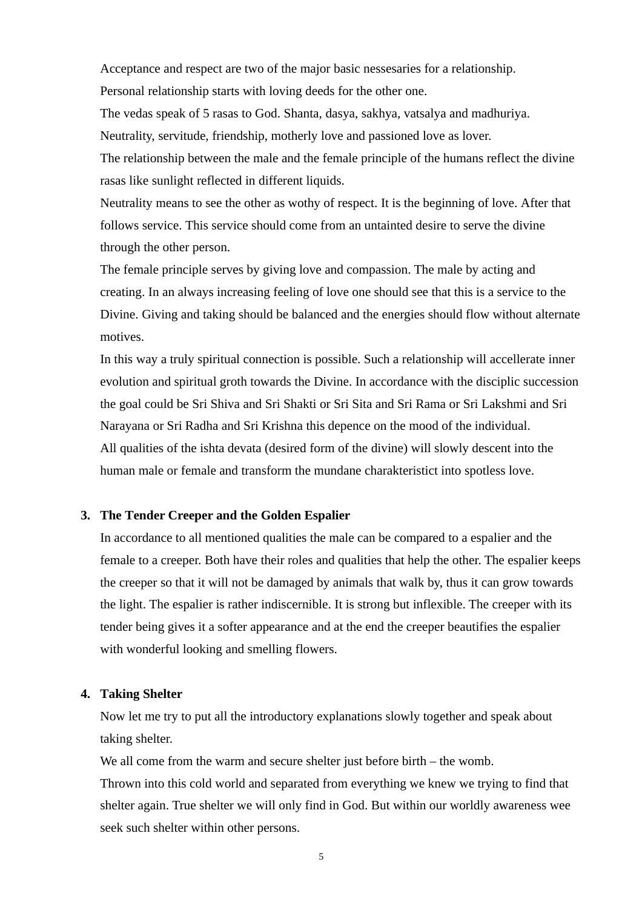Acceptance and respect are two of the major basic nessesaries for a relationship. Personal relationship starts with loving deeds for the other one.

The vedas speak of 5 rasas to God. Shanta, dasya, sakhya, vatsalya and madhuriya. Neutrality, servitude, friendship, motherly love and passioned love as lover.

The relationship between the male and the female principle of the humans reflect the divine rasas like sunlight reflected in different liquids.

Neutrality means to see the other as wothy of respect. It is the beginning of love. After that follows service. This service should come from an untainted desire to serve the divine through the other person.

The female principle serves by giving love and compassion. The male by acting and creating. In an always increasing feeling of love one should see that this is a service to the Divine. Giving and taking should be balanced and the energies should flow without alternate motives.

In this way a truly spiritual connection is possible. Such a relationship will accellerate inner evolution and spiritual groth towards the Divine. In accordance with the disciplic succession the goal could be Sri Shiva and Sri Shakti or Sri Sita and Sri Rama or Sri Lakshmi and Sri Narayana or Sri Radha and Sri Krishna this depence on the mood of the individual. All qualities of the ishta devata (desired form of the divine) will slowly descent into the human male or female and transform the mundane charakteristict into spotless love.

# **3. The Tender Creeper and the Golden Espalier**

In accordance to all mentioned qualities the male can be compared to a espalier and the female to a creeper. Both have their roles and qualities that help the other. The espalier keeps the creeper so that it will not be damaged by animals that walk by, thus it can grow towards the light. The espalier is rather indiscernible. It is strong but inflexible. The creeper with its tender being gives it a softer appearance and at the end the creeper beautifies the espalier with wonderful looking and smelling flowers.

#### **4. Taking Shelter**

Now let me try to put all the introductory explanations slowly together and speak about taking shelter.

We all come from the warm and secure shelter just before birth – the womb.

Thrown into this cold world and separated from everything we knew we trying to find that shelter again. True shelter we will only find in God. But within our worldly awareness wee seek such shelter within other persons.

5